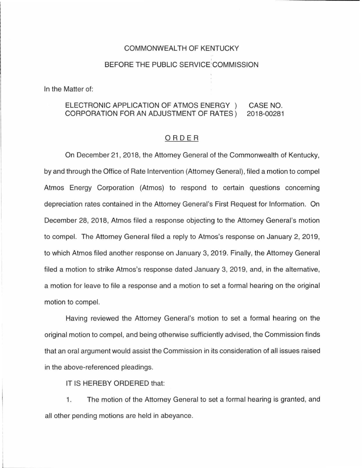# COMMONWEAL TH OF KENTUCKY

### BEFORE THE PUBLIC SERVICE'COMMISSION

In the Matter of:

#### ELECTRONIC APPLICATION OF ATMOS ENERGY ) CORPORATION FOR AN ADJUSTMENT OF RATES) CASE NO. 2018-00281

# ORDER

On December 21, 2018, the Attorney General of the Commonwealth of Kentucky, by and through the Office of Rate Intervention (Attorney General), filed a motion to compel Atmos Energy Corporation (Atmos) to respond to certain questions concerning depreciation rates contained in the Attorney General's First Request for Information. On December 28, 2018, Atmos filed a response objecting to the Attorney General's motion to compel. The Attorney General filed a reply to Atmos's response on January 2, 2019, to which Atmos filed another response on January 3, 2019. Finally, the Attorney General filed a motion to strike Atmos's response dated January 3, 2019, and, in the alternative, a motion for leave to file a response and a motion to set a formal hearing on the original motion to compel.

Having reviewed the Attorney General's motion to set a formal hearing on the original motion to compel, and being otherwise sufficiently advised, the Commission finds that an oral argument would assist the Commission in its consideration of all issues raised in the above-referenced pleadings.

IT IS HEREBY ORDERED that:

1. The motion of the Attorney General to set a formal hearing is granted, and all other pending motions are held in abeyance.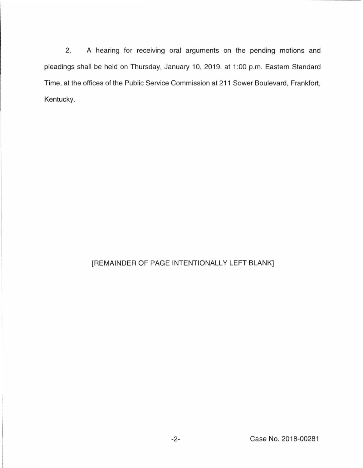2. A hearing for receiving oral arguments on the pending motions and pleadings shall be held on Thursday, January 10, 2019, at 1 :00 p.m. Eastern Standard Time, at the offices of the Public Service Commission at 211 Sower Boulevard, Frankfort, Kentucky.

# [REMAINDER OF PAGE INTENTIONALLY LEFT BLANK]